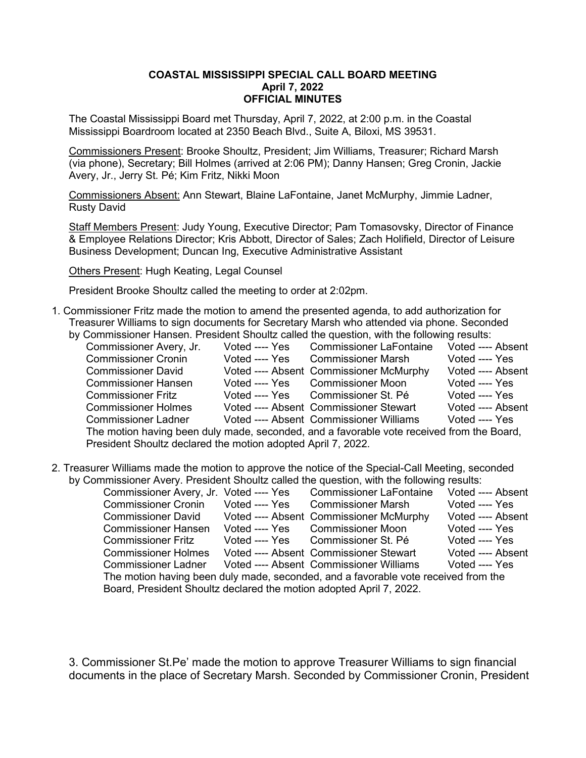### **COASTAL MISSISSIPPI SPECIAL CALL BOARD MEETING April 7, 2022 OFFICIAL MINUTES**

The Coastal Mississippi Board met Thursday, April 7, 2022, at 2:00 p.m. in the Coastal Mississippi Boardroom located at 2350 Beach Blvd., Suite A, Biloxi, MS 39531.

Commissioners Present: Brooke Shoultz, President; Jim Williams, Treasurer; Richard Marsh (via phone), Secretary; Bill Holmes (arrived at 2:06 PM); Danny Hansen; Greg Cronin, Jackie Avery, Jr., Jerry St. Pé; Kim Fritz, Nikki Moon

Commissioners Absent: Ann Stewart, Blaine LaFontaine, Janet McMurphy, Jimmie Ladner, Rusty David

Staff Members Present: Judy Young, Executive Director; Pam Tomasovsky, Director of Finance & Employee Relations Director; Kris Abbott, Director of Sales; Zach Holifield, Director of Leisure Business Development; Duncan Ing, Executive Administrative Assistant

Others Present: Hugh Keating, Legal Counsel

President Brooke Shoultz called the meeting to order at 2:02pm.

- 1. Commissioner Fritz made the motion to amend the presented agenda, to add authorization for Treasurer Williams to sign documents for Secretary Marsh who attended via phone. Seconded
	- by Commissioner Hansen. President Shoultz called the question, with the following results:<br>Commissioner Avery, Jr. Voted ---- Yes Commissioner LaFontaine Voted ---- Absent Commissioner Avery, Jr. Voted ---- Yes Commissioner LaFontaine Voted ---- Absentionmissioner Cronin Voted ---- Yes Commissioner Marsh Voted ---- Yes Commissioner Cronin Voted ---- Yes Commissioner Marsh Commissioner David Voted ---- Absent Commissioner McMurphy Voted ---- Absent Commissioner Hansen Voted ---- Yes Commissioner Moon Voted ---- Yes Commissioner Fritz Voted ---- Yes Commissioner St. Pé Commissioner Holmes Voted ---- Absent Commissioner Stewart Voted ---- Absent Commissioner Vided ---- Yes Commissioner Ladner Voted ---- Absent Commissioner Williams The motion having been duly made, seconded, and a favorable vote received from the Board, President Shoultz declared the motion adopted April 7, 2022.
- 2. Treasurer Williams made the motion to approve the notice of the Special-Call Meeting, seconded by Commissioner Avery. President Shoultz called the question, with the following results:

| Commissioner Avery, Jr. Voted ---- Yes                                             |                | <b>Commissioner LaFontaine</b>          | Voted ---- Absent |  |  |
|------------------------------------------------------------------------------------|----------------|-----------------------------------------|-------------------|--|--|
| <b>Commissioner Cronin</b>                                                         | Voted ---- Yes | <b>Commissioner Marsh</b>               | Voted ---- Yes    |  |  |
| <b>Commissioner David</b>                                                          |                | Voted ---- Absent Commissioner McMurphy | Voted ---- Absent |  |  |
| <b>Commissioner Hansen</b>                                                         | Voted ---- Yes | <b>Commissioner Moon</b>                | Voted ---- Yes    |  |  |
| <b>Commissioner Fritz</b>                                                          |                | Voted ---- Yes Commissioner St. Pé      | Voted ---- Yes    |  |  |
| <b>Commissioner Holmes</b>                                                         |                | Voted ---- Absent Commissioner Stewart  | Voted ---- Absent |  |  |
| <b>Commissioner Ladner</b>                                                         |                | Voted ---- Absent Commissioner Williams | Voted ---- Yes    |  |  |
| The motion having been duly made, seconded, and a favorable vote received from the |                |                                         |                   |  |  |
| Board, President Shoultz declared the motion adopted April 7, 2022.                |                |                                         |                   |  |  |

3. Commissioner St.Pe' made the motion to approve Treasurer Williams to sign financial documents in the place of Secretary Marsh. Seconded by Commissioner Cronin, President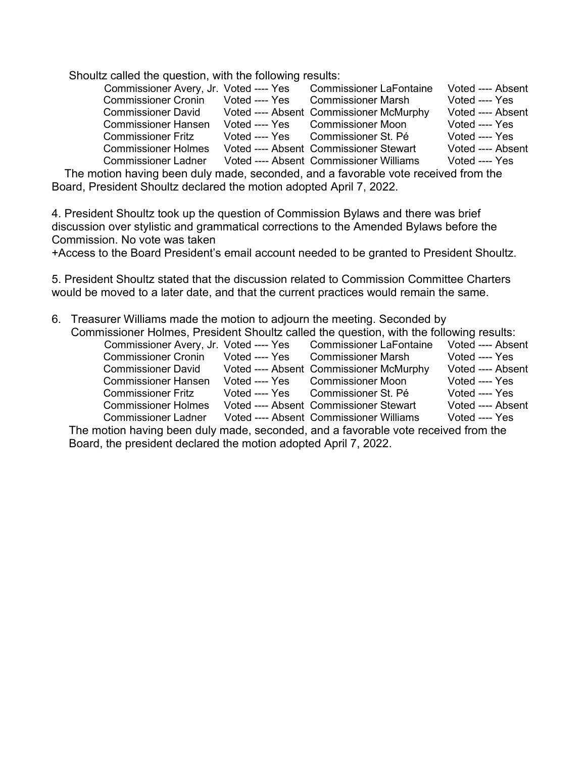Shoultz called the question, with the following results:

| Commissioner Avery, Jr. Voted ---- Yes |                | <b>Commissioner LaFontaine</b>          | Voted ---- Absent |
|----------------------------------------|----------------|-----------------------------------------|-------------------|
| <b>Commissioner Cronin</b>             | Voted ---- Yes | <b>Commissioner Marsh</b>               | Voted ---- Yes    |
| <b>Commissioner David</b>              |                | Voted ---- Absent Commissioner McMurphy | Voted ---- Absent |
| <b>Commissioner Hansen</b>             | Voted ---- Yes | <b>Commissioner Moon</b>                | Voted ---- Yes    |
| <b>Commissioner Fritz</b>              |                | Voted ---- Yes Commissioner St. Pé      | Voted ---- Yes    |
| <b>Commissioner Holmes</b>             |                | Voted ---- Absent Commissioner Stewart  | Voted ---- Absent |
| <b>Commissioner Ladner</b>             |                | Voted ---- Absent Commissioner Williams | Voted ---- Yes    |

 The motion having been duly made, seconded, and a favorable vote received from the Board, President Shoultz declared the motion adopted April 7, 2022.

4. President Shoultz took up the question of Commission Bylaws and there was brief discussion over stylistic and grammatical corrections to the Amended Bylaws before the Commission. No vote was taken

+Access to the Board President's email account needed to be granted to President Shoultz.

5. President Shoultz stated that the discussion related to Commission Committee Charters would be moved to a later date, and that the current practices would remain the same.

- 6. Treasurer Williams made the motion to adjourn the meeting. Seconded by Commissioner Holmes, President Shoultz called the question, with the following results:<br>Commissioner Avery, Jr. Voted ---- Yes Commissioner LaFontaine Voted ---- Absent
	- Commissioner Avery, Jr. Voted ---- Yes Commissioner LaFontaine Voted ---- Absenticommissioner Cronin Voted ---- Yes Commissioner Cronin Voted ---- Yes Commissioner Marsh Voted ---- Yes<br>Commissioner David Voted ---- Absent Commissioner McMurphy Voted ---- Absent Commissioner David Voted ---- Absent Commissioner McMurphy Voted ---- Absent Commissioner Hansen Voted ---- Yes Commissioner Hansen Voted ---- Yes Commissioner Moon Voted ---- Yes<br>Commissioner Fritz Voted ---- Yes Commissioner St. Pé Voted ---- Yes Commissioner Fritz Voted ---- Yes Commissioner St. Pé Voted ---- Yes<br>Commissioner Holmes Voted ---- Absent Commissioner Stewart Voted ---- Absent Commissioner Holmes Voted ---- Absent Commissioner Stewart Commissioner Ladner Voted ---- Absent Commissioner Williams Voted ---- Yes

The motion having been duly made, seconded, and a favorable vote received from the Board, the president declared the motion adopted April 7, 2022.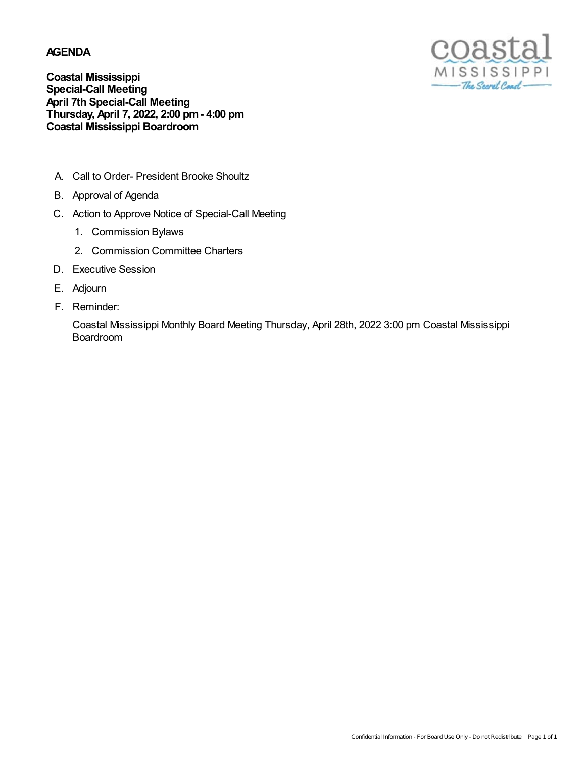### **AGENDA**



**Coastal Mississippi Special-Call Meeting April 7th Special-Call Meeting Thursday, April 7, 2022, 2:00 pm- 4:00 pm Coastal Mississippi Boardroom**

- A. Call to Order- President Brooke Shoultz
- B. Approval of Agenda
- C. Action to Approve Notice of Special-Call Meeting
	- 1. Commission Bylaws
	- 2. Commission Committee Charters
- D. Executive Session
- E. Adjourn
- F. Reminder:

Coastal Mississippi Monthly Board Meeting Thursday, April 28th, 2022 3:00 pm Coastal Mississippi Boardroom